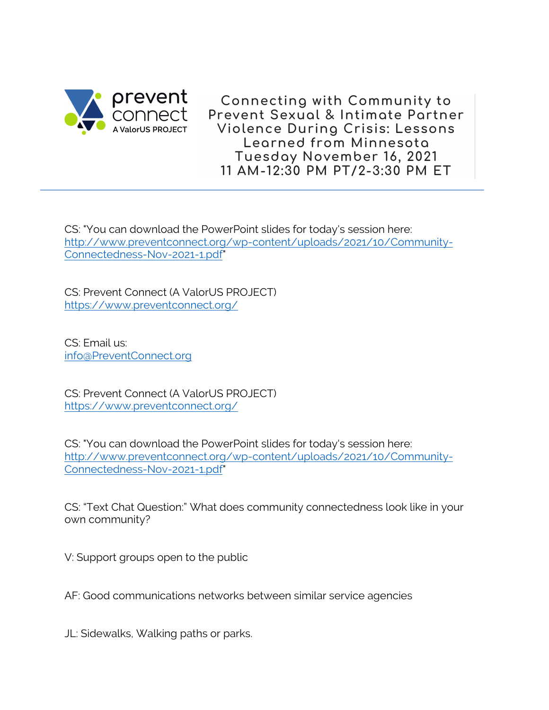

**Connecting with Community to Prevent Sexual & Intimate Partner Violence During Crisis: Lessons Learned from Minnesota Tuesday November 16, 2021 11 AM-12:30 PM PT/2-3:30 PM ET**

CS: "You can download the PowerPoint slides for today's session here: http://www.preventconnect.org/wp-content/uploads/2021/10/Community-Connectedness-Nov-2021-1.pdf"

CS: Prevent Connect (A ValorUS PROJECT) https://www.preventconnect.org/

CS: Email us: info@PreventConnect.org

CS: Prevent Connect (A ValorUS PROJECT) https://www.preventconnect.org/

CS: "You can download the PowerPoint slides for today's session here: http://www.preventconnect.org/wp-content/uploads/2021/10/Community-Connectedness-Nov-2021-1.pdf"

CS: "Text Chat Question:" What does community connectedness look like in your own community?

V: Support groups open to the public

AF: Good communications networks between similar service agencies

JL: Sidewalks, Walking paths or parks.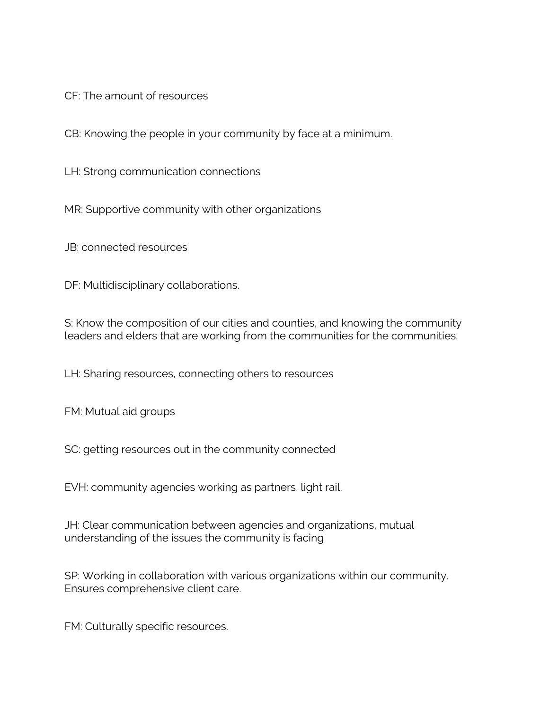CF: The amount of resources

CB: Knowing the people in your community by face at a minimum.

LH: Strong communication connections

MR: Supportive community with other organizations

JB: connected resources

DF: Multidisciplinary collaborations.

S: Know the composition of our cities and counties, and knowing the community leaders and elders that are working from the communities for the communities.

LH: Sharing resources, connecting others to resources

FM: Mutual aid groups

SC: getting resources out in the community connected

EVH: community agencies working as partners. light rail.

JH: Clear communication between agencies and organizations, mutual understanding of the issues the community is facing

SP: Working in collaboration with various organizations within our community. Ensures comprehensive client care.

FM: Culturally specific resources.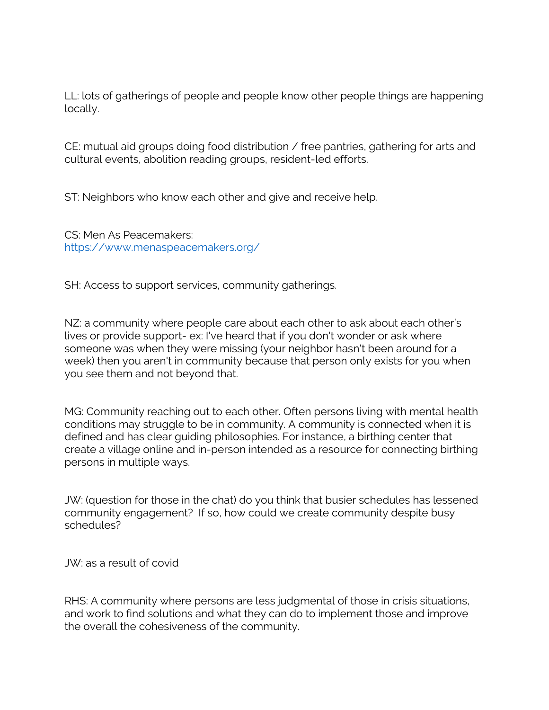LL: lots of gatherings of people and people know other people things are happening locally.

CE: mutual aid groups doing food distribution / free pantries, gathering for arts and cultural events, abolition reading groups, resident-led efforts.

ST: Neighbors who know each other and give and receive help.

CS: Men As Peacemakers: https://www.menaspeacemakers.org/

SH: Access to support services, community gatherings.

NZ: a community where people care about each other to ask about each other's lives or provide support- ex: I've heard that if you don't wonder or ask where someone was when they were missing (your neighbor hasn't been around for a week) then you aren't in community because that person only exists for you when you see them and not beyond that.

MG: Community reaching out to each other. Often persons living with mental health conditions may struggle to be in community. A community is connected when it is defined and has clear guiding philosophies. For instance, a birthing center that create a village online and in-person intended as a resource for connecting birthing persons in multiple ways.

JW: (question for those in the chat) do you think that busier schedules has lessened community engagement? If so, how could we create community despite busy schedules?

JW: as a result of covid

RHS: A community where persons are less judgmental of those in crisis situations, and work to find solutions and what they can do to implement those and improve the overall the cohesiveness of the community.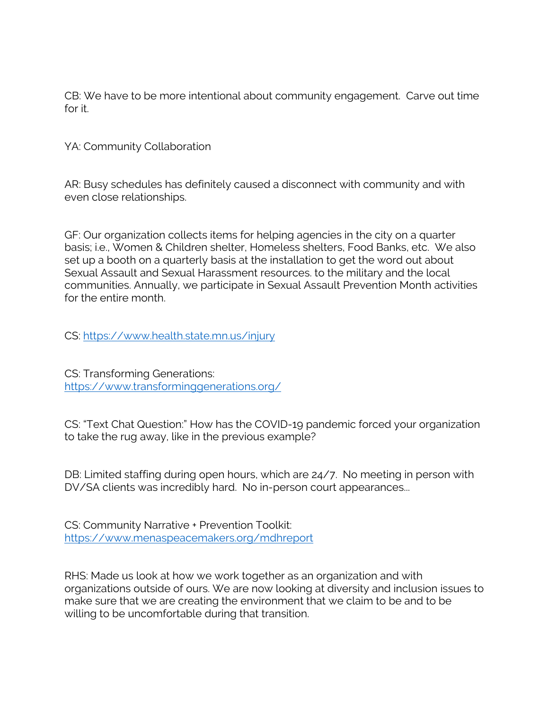CB: We have to be more intentional about community engagement. Carve out time for it.

YA: Community Collaboration

AR: Busy schedules has definitely caused a disconnect with community and with even close relationships.

GF: Our organization collects items for helping agencies in the city on a quarter basis; i.e., Women & Children shelter, Homeless shelters, Food Banks, etc. We also set up a booth on a quarterly basis at the installation to get the word out about Sexual Assault and Sexual Harassment resources. to the military and the local communities. Annually, we participate in Sexual Assault Prevention Month activities for the entire month.

CS: https://www.health.state.mn.us/injury

CS: Transforming Generations: https://www.transforminggenerations.org/

CS: "Text Chat Question:" How has the COVID-19 pandemic forced your organization to take the rug away, like in the previous example?

DB: Limited staffing during open hours, which are 24/7. No meeting in person with DV/SA clients was incredibly hard. No in-person court appearances...

CS: Community Narrative + Prevention Toolkit: https://www.menaspeacemakers.org/mdhreport

RHS: Made us look at how we work together as an organization and with organizations outside of ours. We are now looking at diversity and inclusion issues to make sure that we are creating the environment that we claim to be and to be willing to be uncomfortable during that transition.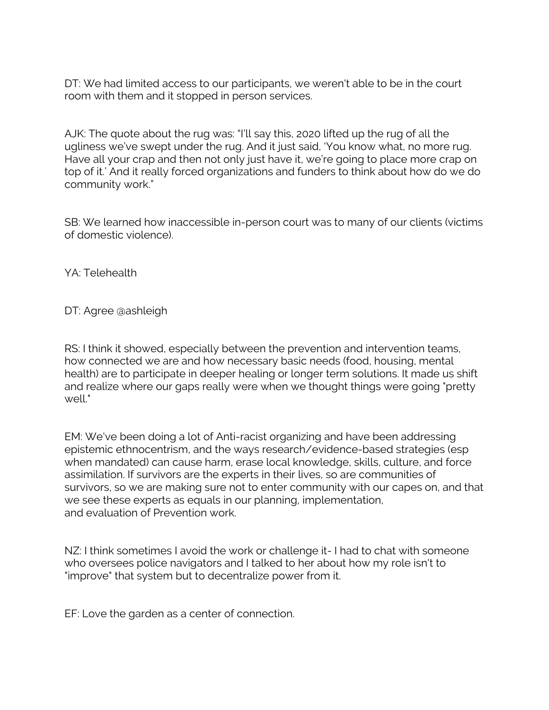DT: We had limited access to our participants, we weren't able to be in the court room with them and it stopped in person services.

AJK: The quote about the rug was: "I'll say this, 2020 lifted up the rug of all the ugliness we've swept under the rug. And it just said, 'You know what, no more rug. Have all your crap and then not only just have it, we're going to place more crap on top of it.' And it really forced organizations and funders to think about how do we do community work."

SB: We learned how inaccessible in-person court was to many of our clients (victims of domestic violence).

YA: Telehealth

DT: Agree @ashleigh

RS: I think it showed, especially between the prevention and intervention teams, how connected we are and how necessary basic needs (food, housing, mental health) are to participate in deeper healing or longer term solutions. It made us shift and realize where our gaps really were when we thought things were going "pretty well."

EM: We've been doing a lot of Anti-racist organizing and have been addressing epistemic ethnocentrism, and the ways research/evidence-based strategies (esp when mandated) can cause harm, erase local knowledge, skills, culture, and force assimilation. If survivors are the experts in their lives, so are communities of survivors, so we are making sure not to enter community with our capes on, and that we see these experts as equals in our planning, implementation, and evaluation of Prevention work.

NZ: I think sometimes I avoid the work or challenge it- I had to chat with someone who oversees police navigators and I talked to her about how my role isn't to "improve" that system but to decentralize power from it.

EF: Love the garden as a center of connection.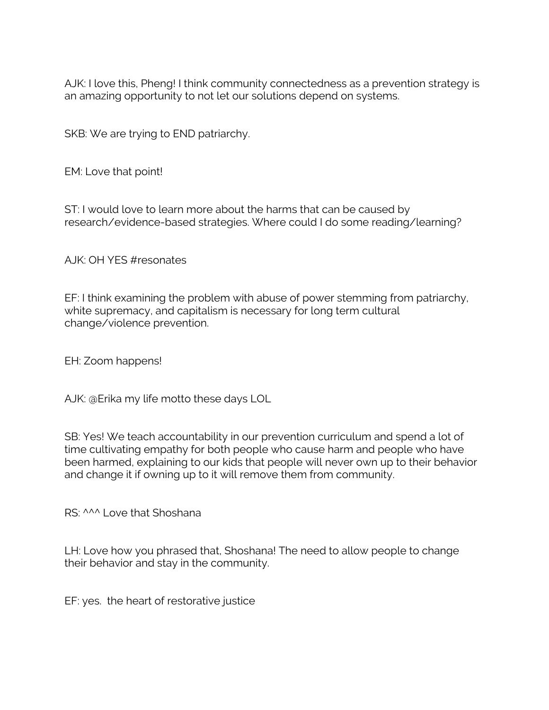AJK: I love this, Pheng! I think community connectedness as a prevention strategy is an amazing opportunity to not let our solutions depend on systems.

SKB: We are trying to END patriarchy.

EM: Love that point!

ST: I would love to learn more about the harms that can be caused by research/evidence-based strategies. Where could I do some reading/learning?

AJK: OH YES #resonates

EF: I think examining the problem with abuse of power stemming from patriarchy, white supremacy, and capitalism is necessary for long term cultural change/violence prevention.

EH: Zoom happens!

AJK: @Erika my life motto these days LOL

SB: Yes! We teach accountability in our prevention curriculum and spend a lot of time cultivating empathy for both people who cause harm and people who have been harmed, explaining to our kids that people will never own up to their behavior and change it if owning up to it will remove them from community.

RS: ^^^ Love that Shoshana

LH: Love how you phrased that, Shoshana! The need to allow people to change their behavior and stay in the community.

EF: yes. the heart of restorative justice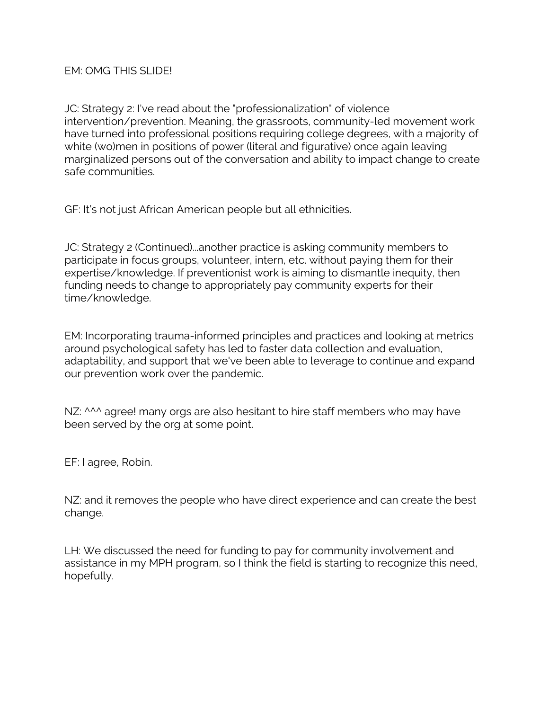JC: Strategy 2: I've read about the "professionalization" of violence intervention/prevention. Meaning, the grassroots, community-led movement work have turned into professional positions requiring college degrees, with a majority of white (wo)men in positions of power (literal and figurative) once again leaving marginalized persons out of the conversation and ability to impact change to create safe communities.

GF: It's not just African American people but all ethnicities.

JC: Strategy 2 (Continued)...another practice is asking community members to participate in focus groups, volunteer, intern, etc. without paying them for their expertise/knowledge. If preventionist work is aiming to dismantle inequity, then funding needs to change to appropriately pay community experts for their time/knowledge.

EM: Incorporating trauma-informed principles and practices and looking at metrics around psychological safety has led to faster data collection and evaluation, adaptability, and support that we've been able to leverage to continue and expand our prevention work over the pandemic.

NZ: ^^^ agree! many orgs are also hesitant to hire staff members who may have been served by the org at some point.

EF: I agree, Robin.

NZ: and it removes the people who have direct experience and can create the best change.

LH: We discussed the need for funding to pay for community involvement and assistance in my MPH program, so I think the field is starting to recognize this need, hopefully.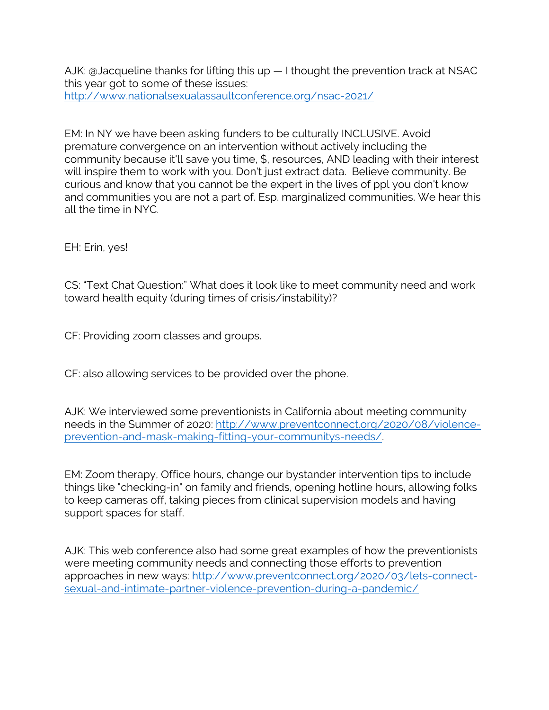AJK: @Jacqueline thanks for lifting this up — I thought the prevention track at NSAC this year got to some of these issues: http://www.nationalsexualassaultconference.org/nsac-2021/

EM: In NY we have been asking funders to be culturally INCLUSIVE. Avoid premature convergence on an intervention without actively including the community because it'll save you time, \$, resources, AND leading with their interest will inspire them to work with you. Don't just extract data. Believe community. Be curious and know that you cannot be the expert in the lives of ppl you don't know and communities you are not a part of. Esp. marginalized communities. We hear this all the time in NYC.

EH: Erin, yes!

CS: "Text Chat Question:" What does it look like to meet community need and work toward health equity (during times of crisis/instability)?

CF: Providing zoom classes and groups.

CF: also allowing services to be provided over the phone.

AJK: We interviewed some preventionists in California about meeting community needs in the Summer of 2020: http://www.preventconnect.org/2020/08/violenceprevention-and-mask-making-fitting-your-communitys-needs/.

EM: Zoom therapy, Office hours, change our bystander intervention tips to include things like "checking-in" on family and friends, opening hotline hours, allowing folks to keep cameras off, taking pieces from clinical supervision models and having support spaces for staff.

AJK: This web conference also had some great examples of how the preventionists were meeting community needs and connecting those efforts to prevention approaches in new ways: http://www.preventconnect.org/2020/03/lets-connectsexual-and-intimate-partner-violence-prevention-during-a-pandemic/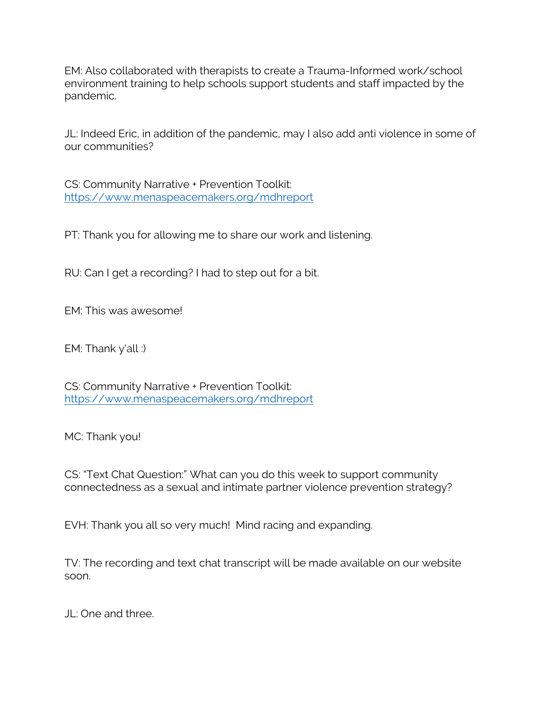EM: Also collaborated with therapists to create a Trauma-Informed work/school environment training to help schools support students and staff impacted by the pandemic.

JL: Indeed Eric, in addition of the pandemic, may I also add anti violence in some of our communities?

CS: Community Narrative + Prevention Toolkit: https://www.menaspeacemakers.org/mdhreport

PT: Thank you for allowing me to share our work and listening.

RU: Can I get a recording? I had to step out for a bit.

EM: This was awesome!

EM: Thank y'all :)

CS: Community Narrative + Prevention Toolkit: https://www.menaspeacemakers.org/mdhreport

MC: Thank you!

CS: "Text Chat Question:" What can you do this week to support community connectedness as a sexual and intimate partner violence prevention strategy?

EVH: Thank you all so very much! Mind racing and expanding.

TV: The recording and text chat transcript will be made available on our website soon.

JL: One and three.